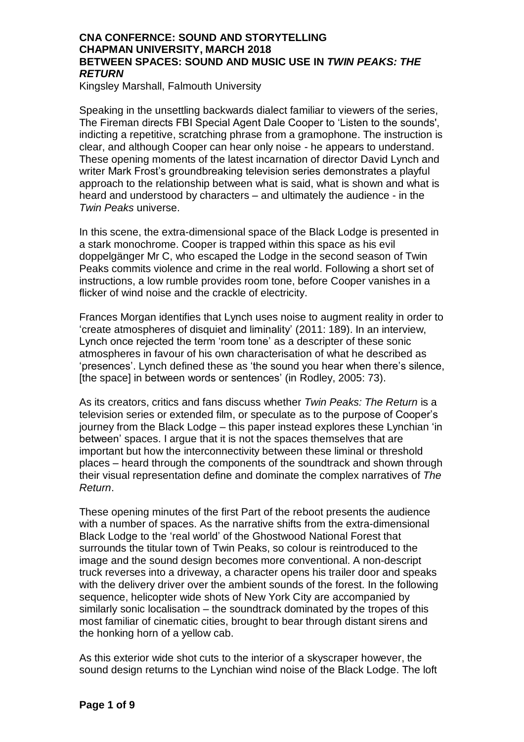Kingsley Marshall, Falmouth University

Speaking in the unsettling backwards dialect familiar to viewers of the series, The Fireman directs FBI Special Agent Dale Cooper to 'Listen to the sounds', indicting a repetitive, scratching phrase from a gramophone. The instruction is clear, and although Cooper can hear only noise - he appears to understand. These opening moments of the latest incarnation of director David Lynch and writer Mark Frost's groundbreaking television series demonstrates a playful approach to the relationship between what is said, what is shown and what is heard and understood by characters – and ultimately the audience - in the *Twin Peaks* universe.

In this scene, the extra-dimensional space of the Black Lodge is presented in a stark monochrome. Cooper is trapped within this space as his evil doppelgänger Mr C, who escaped the Lodge in the second season of Twin Peaks commits violence and crime in the real world. Following a short set of instructions, a low rumble provides room tone, before Cooper vanishes in a flicker of wind noise and the crackle of electricity.

Frances Morgan identifies that Lynch uses noise to augment reality in order to 'create atmospheres of disquiet and liminality' (2011: 189). In an interview, Lynch once rejected the term 'room tone' as a descripter of these sonic atmospheres in favour of his own characterisation of what he described as 'presences'. Lynch defined these as 'the sound you hear when there's silence, [the space] in between words or sentences' (in Rodley, 2005: 73).

As its creators, critics and fans discuss whether *Twin Peaks: The Return* is a television series or extended film, or speculate as to the purpose of Cooper's journey from the Black Lodge – this paper instead explores these Lynchian 'in between' spaces. I argue that it is not the spaces themselves that are important but how the interconnectivity between these liminal or threshold places – heard through the components of the soundtrack and shown through their visual representation define and dominate the complex narratives of *The Return*.

These opening minutes of the first Part of the reboot presents the audience with a number of spaces. As the narrative shifts from the extra-dimensional Black Lodge to the 'real world' of the Ghostwood National Forest that surrounds the titular town of Twin Peaks, so colour is reintroduced to the image and the sound design becomes more conventional. A non-descript truck reverses into a driveway, a character opens his trailer door and speaks with the delivery driver over the ambient sounds of the forest. In the following sequence, helicopter wide shots of New York City are accompanied by similarly sonic localisation – the soundtrack dominated by the tropes of this most familiar of cinematic cities, brought to bear through distant sirens and the honking horn of a yellow cab.

As this exterior wide shot cuts to the interior of a skyscraper however, the sound design returns to the Lynchian wind noise of the Black Lodge. The loft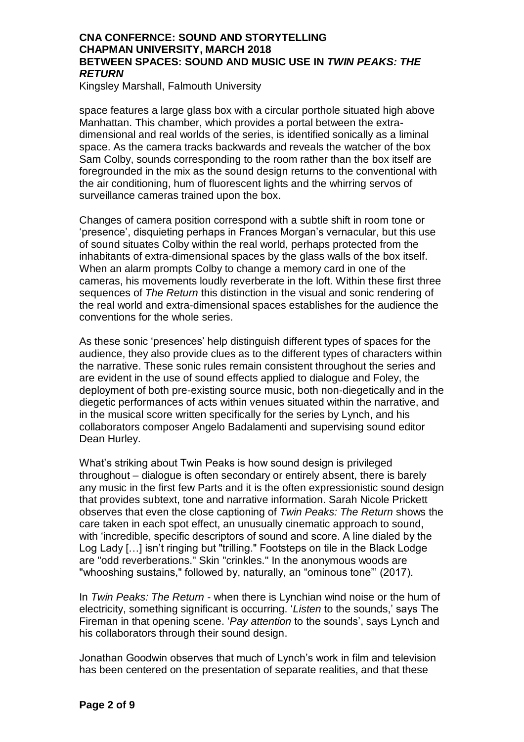Kingsley Marshall, Falmouth University

space features a large glass box with a circular porthole situated high above Manhattan. This chamber, which provides a portal between the extradimensional and real worlds of the series, is identified sonically as a liminal space. As the camera tracks backwards and reveals the watcher of the box Sam Colby, sounds corresponding to the room rather than the box itself are foregrounded in the mix as the sound design returns to the conventional with the air conditioning, hum of fluorescent lights and the whirring servos of surveillance cameras trained upon the box.

Changes of camera position correspond with a subtle shift in room tone or 'presence', disquieting perhaps in Frances Morgan's vernacular, but this use of sound situates Colby within the real world, perhaps protected from the inhabitants of extra-dimensional spaces by the glass walls of the box itself. When an alarm prompts Colby to change a memory card in one of the cameras, his movements loudly reverberate in the loft. Within these first three sequences of *The Return* this distinction in the visual and sonic rendering of the real world and extra-dimensional spaces establishes for the audience the conventions for the whole series.

As these sonic 'presences' help distinguish different types of spaces for the audience, they also provide clues as to the different types of characters within the narrative. These sonic rules remain consistent throughout the series and are evident in the use of sound effects applied to dialogue and Foley, the deployment of both pre-existing source music, both non-diegetically and in the diegetic performances of acts within venues situated within the narrative, and in the musical score written specifically for the series by Lynch, and his collaborators composer Angelo Badalamenti and supervising sound editor Dean Hurley.

What's striking about Twin Peaks is how sound design is privileged throughout – dialogue is often secondary or entirely absent, there is barely any music in the first few Parts and it is the often expressionistic sound design that provides subtext, tone and narrative information. Sarah Nicole Prickett observes that even the close captioning of *Twin Peaks: The Return* shows the care taken in each spot effect, an unusually cinematic approach to sound, with 'incredible, specific descriptors of sound and score. A line dialed by the Log Lady […] isn't ringing but "trilling." Footsteps on tile in the Black Lodge are "odd reverberations." Skin "crinkles." In the anonymous woods are "whooshing sustains," followed by, naturally, an "ominous tone"' (2017).

In *Twin Peaks: The Return* - when there is Lynchian wind noise or the hum of electricity, something significant is occurring. '*Listen* to the sounds,' says The Fireman in that opening scene. '*Pay attention* to the sounds', says Lynch and his collaborators through their sound design.

Jonathan Goodwin observes that much of Lynch's work in film and television has been centered on the presentation of separate realities, and that these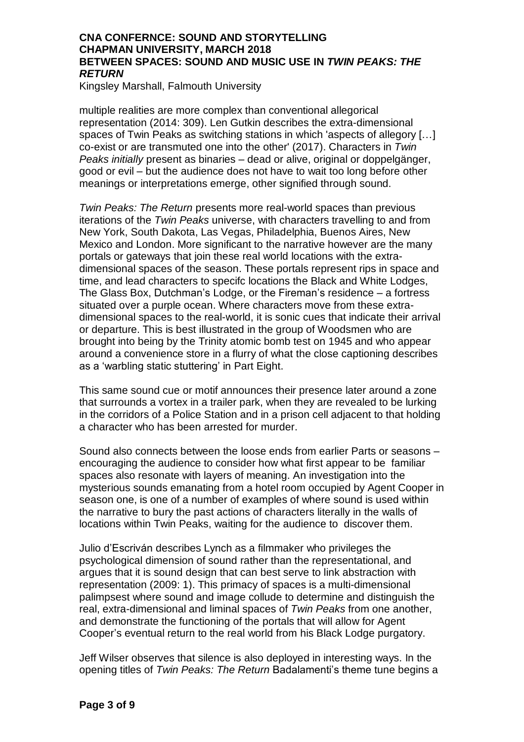Kingsley Marshall, Falmouth University

multiple realities are more complex than conventional allegorical representation (2014: 309). Len Gutkin describes the extra-dimensional spaces of Twin Peaks as switching stations in which 'aspects of allegory […] co-exist or are transmuted one into the other' (2017). Characters in *Twin Peaks initially* present as binaries – dead or alive, original or doppelgänger, good or evil – but the audience does not have to wait too long before other meanings or interpretations emerge, other signified through sound.

*Twin Peaks: The Return* presents more real-world spaces than previous iterations of the *Twin Peaks* universe, with characters travelling to and from New York, South Dakota, Las Vegas, Philadelphia, Buenos Aires, New Mexico and London. More significant to the narrative however are the many portals or gateways that join these real world locations with the extradimensional spaces of the season. These portals represent rips in space and time, and lead characters to specifc locations the Black and White Lodges, The Glass Box, Dutchman's Lodge, or the Fireman's residence – a fortress situated over a purple ocean. Where characters move from these extradimensional spaces to the real-world, it is sonic cues that indicate their arrival or departure. This is best illustrated in the group of Woodsmen who are brought into being by the Trinity atomic bomb test on 1945 and who appear around a convenience store in a flurry of what the close captioning describes as a 'warbling static stuttering' in Part Eight.

This same sound cue or motif announces their presence later around a zone that surrounds a vortex in a trailer park, when they are revealed to be lurking in the corridors of a Police Station and in a prison cell adjacent to that holding a character who has been arrested for murder.

Sound also connects between the loose ends from earlier Parts or seasons – encouraging the audience to consider how what first appear to be familiar spaces also resonate with layers of meaning. An investigation into the mysterious sounds emanating from a hotel room occupied by Agent Cooper in season one, is one of a number of examples of where sound is used within the narrative to bury the past actions of characters literally in the walls of locations within Twin Peaks, waiting for the audience to discover them.

Julio d'Escriván describes Lynch as a filmmaker who privileges the psychological dimension of sound rather than the representational, and argues that it is sound design that can best serve to link abstraction with representation (2009: 1). This primacy of spaces is a multi-dimensional palimpsest where sound and image collude to determine and distinguish the real, extra-dimensional and liminal spaces of *Twin Peaks* from one another, and demonstrate the functioning of the portals that will allow for Agent Cooper's eventual return to the real world from his Black Lodge purgatory.

Jeff Wilser observes that silence is also deployed in interesting ways. In the opening titles of *Twin Peaks: The Return* Badalamenti's theme tune begins a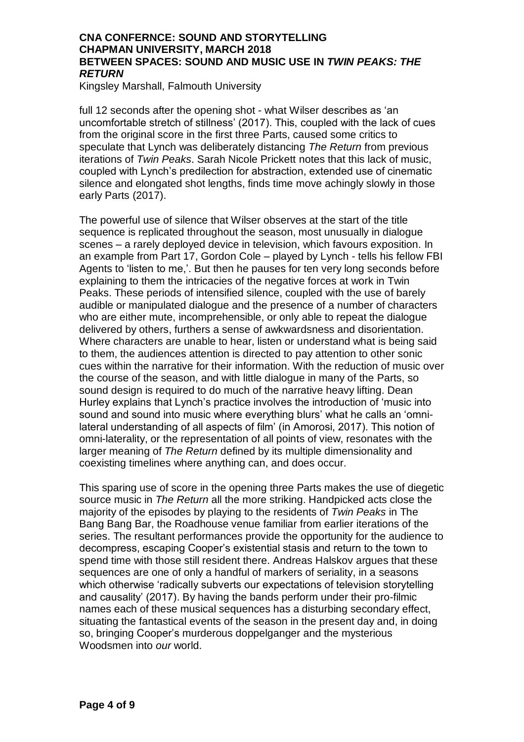Kingsley Marshall, Falmouth University

full 12 seconds after the opening shot - what Wilser describes as 'an uncomfortable stretch of stillness' (2017). This, coupled with the lack of cues from the original score in the first three Parts, caused some critics to speculate that Lynch was deliberately distancing *The Return* from previous iterations of *Twin Peaks*. Sarah Nicole Prickett notes that this lack of music, coupled with Lynch's predilection for abstraction, extended use of cinematic silence and elongated shot lengths, finds time move achingly slowly in those early Parts (2017).

The powerful use of silence that Wilser observes at the start of the title sequence is replicated throughout the season, most unusually in dialogue scenes – a rarely deployed device in television, which favours exposition. In an example from Part 17, Gordon Cole – played by Lynch - tells his fellow FBI Agents to 'listen to me,'. But then he pauses for ten very long seconds before explaining to them the intricacies of the negative forces at work in Twin Peaks. These periods of intensified silence, coupled with the use of barely audible or manipulated dialogue and the presence of a number of characters who are either mute, incomprehensible, or only able to repeat the dialogue delivered by others, furthers a sense of awkwardsness and disorientation. Where characters are unable to hear, listen or understand what is being said to them, the audiences attention is directed to pay attention to other sonic cues within the narrative for their information. With the reduction of music over the course of the season, and with little dialogue in many of the Parts, so sound design is required to do much of the narrative heavy lifting. Dean Hurley explains that Lynch's practice involves the introduction of 'music into sound and sound into music where everything blurs' what he calls an 'omnilateral understanding of all aspects of film' (in Amorosi, 2017). This notion of omni-laterality, or the representation of all points of view, resonates with the larger meaning of *The Return* defined by its multiple dimensionality and coexisting timelines where anything can, and does occur.

This sparing use of score in the opening three Parts makes the use of diegetic source music in *The Return* all the more striking. Handpicked acts close the majority of the episodes by playing to the residents of *Twin Peaks* in The Bang Bang Bar, the Roadhouse venue familiar from earlier iterations of the series. The resultant performances provide the opportunity for the audience to decompress, escaping Cooper's existential stasis and return to the town to spend time with those still resident there. Andreas Halskov argues that these sequences are one of only a handful of markers of seriality, in a seasons which otherwise 'radically subverts our expectations of television storytelling and causality' (2017). By having the bands perform under their pro-filmic names each of these musical sequences has a disturbing secondary effect, situating the fantastical events of the season in the present day and, in doing so, bringing Cooper's murderous doppelganger and the mysterious Woodsmen into *our* world.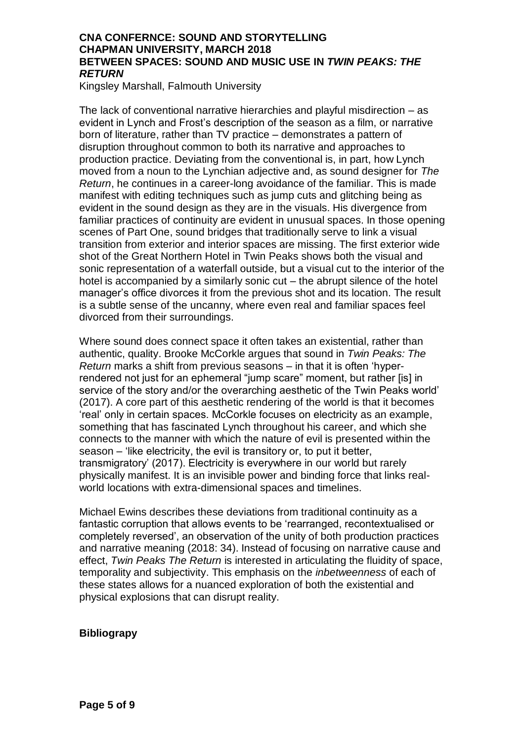Kingsley Marshall, Falmouth University

The lack of conventional narrative hierarchies and playful misdirection – as evident in Lynch and Frost's description of the season as a film, or narrative born of literature, rather than TV practice – demonstrates a pattern of disruption throughout common to both its narrative and approaches to production practice. Deviating from the conventional is, in part, how Lynch moved from a noun to the Lynchian adjective and, as sound designer for *The Return*, he continues in a career-long avoidance of the familiar. This is made manifest with editing techniques such as jump cuts and glitching being as evident in the sound design as they are in the visuals. His divergence from familiar practices of continuity are evident in unusual spaces. In those opening scenes of Part One, sound bridges that traditionally serve to link a visual transition from exterior and interior spaces are missing. The first exterior wide shot of the Great Northern Hotel in Twin Peaks shows both the visual and sonic representation of a waterfall outside, but a visual cut to the interior of the hotel is accompanied by a similarly sonic cut – the abrupt silence of the hotel manager's office divorces it from the previous shot and its location. The result is a subtle sense of the uncanny, where even real and familiar spaces feel divorced from their surroundings.

Where sound does connect space it often takes an existential, rather than authentic, quality. Brooke McCorkle argues that sound in *Twin Peaks: The Return* marks a shift from previous seasons – in that it is often 'hyperrendered not just for an ephemeral "jump scare" moment, but rather [is] in service of the story and/or the overarching aesthetic of the Twin Peaks world' (2017). A core part of this aesthetic rendering of the world is that it becomes 'real' only in certain spaces. McCorkle focuses on electricity as an example, something that has fascinated Lynch throughout his career, and which she connects to the manner with which the nature of evil is presented within the season – 'like electricity, the evil is transitory or, to put it better, transmigratory' (2017). Electricity is everywhere in our world but rarely physically manifest. It is an invisible power and binding force that links realworld locations with extra-dimensional spaces and timelines.

Michael Ewins describes these deviations from traditional continuity as a fantastic corruption that allows events to be 'rearranged, recontextualised or completely reversed', an observation of the unity of both production practices and narrative meaning (2018: 34). Instead of focusing on narrative cause and effect, *Twin Peaks The Return* is interested in articulating the fluidity of space, temporality and subjectivity. This emphasis on the *inbetweenness* of each of these states allows for a nuanced exploration of both the existential and physical explosions that can disrupt reality.

#### **Bibliograpy**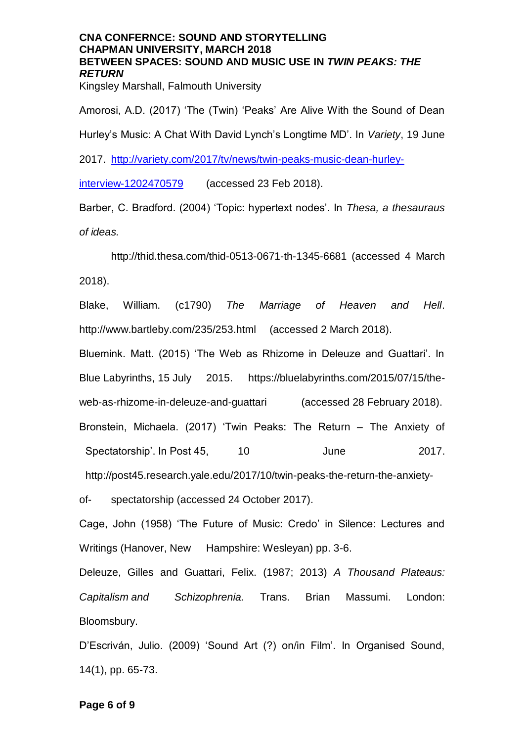Kingsley Marshall, Falmouth University

Amorosi, A.D. (2017) 'The (Twin) 'Peaks' Are Alive With the Sound of Dean Hurley's Music: A Chat With David Lynch's Longtime MD'. In *Variety*, 19 June 2017. [http://variety.com/2017/tv/news/twin-peaks-music-dean-hurley](http://variety.com/2017/tv/news/twin-peaks-music-dean-hurley-interview-1202470579)[interview-1202470579](http://variety.com/2017/tv/news/twin-peaks-music-dean-hurley-interview-1202470579) (accessed 23 Feb 2018).

Barber, C. Bradford. (2004) 'Topic: hypertext nodes'. In *Thesa, a thesauraus of ideas.*

http://thid.thesa.com/thid-0513-0671-th-1345-6681 (accessed 4 March 2018).

Blake, William. (c1790) *The Marriage of Heaven and Hell*. http://www.bartleby.com/235/253.html (accessed 2 March 2018).

Bluemink. Matt. (2015) 'The Web as Rhizome in Deleuze and Guattari'. In Blue Labyrinths, 15 July 2015. [https://bluelabyrinths.com/2015/07/15/the](https://bluelabyrinths.com/2015/07/15/the-web-as-rhizome-in-deleuze-and-guattari)[web-as-rhizome-in-deleuze-and-guattari](https://bluelabyrinths.com/2015/07/15/the-web-as-rhizome-in-deleuze-and-guattari) (accessed 28 February 2018). Bronstein, Michaela. (2017) 'Twin Peaks: The Return – The Anxiety of Spectatorship'. In Post 45, 10 June 2017. [http://post45.research.yale.edu/2017/10/twin-peaks-the-return-the-anxiety-](http://post45.research.yale.edu/2017/10/twin-peaks-the-return-the-anxiety-of-)

[of-](http://post45.research.yale.edu/2017/10/twin-peaks-the-return-the-anxiety-of-) spectatorship (accessed 24 October 2017).

Cage, John (1958) 'The Future of Music: Credo' in Silence: Lectures and Writings (Hanover, New Hampshire: Wesleyan) pp. 3-6.

Deleuze, Gilles and Guattari, Felix. (1987; 2013) *A Thousand Plateaus: Capitalism and Schizophrenia.* Trans. Brian Massumi. London: Bloomsbury.

D'Escriván, Julio. (2009) 'Sound Art (?) on/in Film'. In Organised Sound, 14(1), pp. 65-73.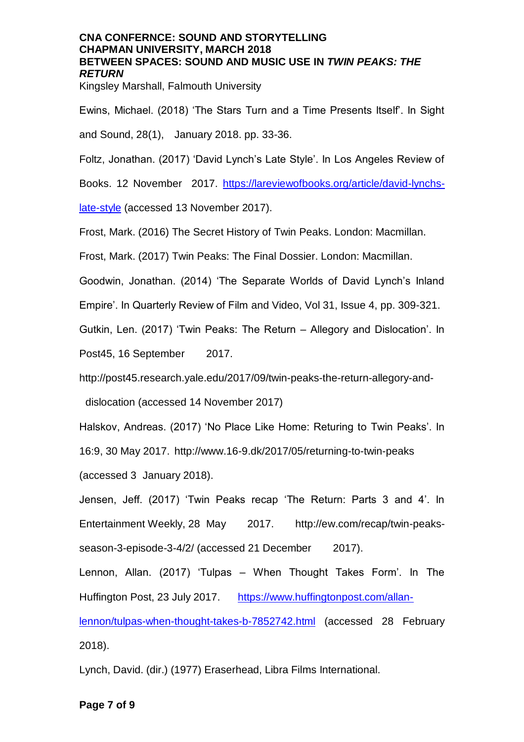Kingsley Marshall, Falmouth University

Ewins, Michael. (2018) 'The Stars Turn and a Time Presents Itself'. In Sight and Sound, 28(1), January 2018. pp. 33-36.

Foltz, Jonathan. (2017) 'David Lynch's Late Style'. In Los Angeles Review of

Books. 12 November 2017. [https://lareviewofbooks.org/article/david-lynchs-](https://lareviewofbooks.org/article/david-lynchs-late-style)

[late-style](https://lareviewofbooks.org/article/david-lynchs-late-style) (accessed 13 November 2017).

Frost, Mark. (2016) The Secret History of Twin Peaks. London: Macmillan.

Frost, Mark. (2017) Twin Peaks: The Final Dossier. London: Macmillan.

Goodwin, Jonathan. (2014) 'The Separate Worlds of David Lynch's Inland

Empire'. In Quarterly Review of Film and Video, Vol 31, Issue 4, pp. 309-321.

Gutkin, Len. (2017) 'Twin Peaks: The Return – Allegory and Dislocation'. In

Post45, 16 September 2017.

<http://post45.research.yale.edu/2017/09/twin-peaks-the-return-allegory-and->

[dislocation](http://post45.research.yale.edu/2017/09/twin-peaks-the-return-allegory-and-dislocation) (accessed 14 November 2017)

Halskov, Andreas. (2017) 'No Place Like Home: Returing to Twin Peaks'. In

16:9, 30 May 2017.<http://www.16-9.dk/2017/05/returning-to-twin-peaks>

(accessed 3 January 2018).

Jensen, Jeff. (2017) 'Twin Peaks recap 'The Return: Parts 3 and 4'. In Entertainment Weekly, 28 May 2017. http://ew.com/recap/twin-peaksseason-3-episode-3[-4/2/](http://ew.com/recap/twin-peaks-season-3-episode-3-4/2/) (accessed 21 December 2017).

Lennon, Allan. (2017) 'Tulpas – When Thought Takes Form'. In The Huffington Post, 23 July 2017. [https://www.huffingtonpost.com/allan](https://www.huffingtonpost.com/allan-lennon/tulpas-when-thought-takes-b-7852742.html)[lennon/tulpas-when-thought-takes-b-7852742.html](https://www.huffingtonpost.com/allan-lennon/tulpas-when-thought-takes-b-7852742.html) (accessed 28 February

2018).

Lynch, David. (dir.) (1977) Eraserhead, Libra Films International.

#### **Page 7 of 9**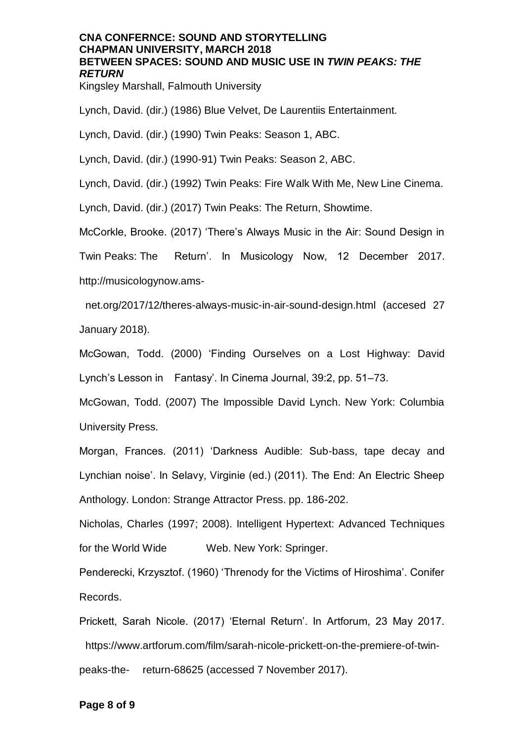Kingsley Marshall, Falmouth University

Lynch, David. (dir.) (1986) Blue Velvet, De Laurentiis Entertainment.

Lynch, David. (dir.) (1990) Twin Peaks: Season 1, ABC.

Lynch, David. (dir.) (1990-91) Twin Peaks: Season 2, ABC.

Lynch, David. (dir.) (1992) Twin Peaks: Fire Walk With Me, New Line Cinema.

Lynch, David. (dir.) (2017) Twin Peaks: The Return, Showtime.

McCorkle, Brooke. (2017) 'There's Always Music in the Air: Sound Design in

Twin Peaks: The Return'. In Musicology Now, 12 December 2017. http://musicologynow.ams-

net.org/2017/12/theres-always-music-in-air-sound[-design.html](http://musicologynow.ams-net.org/2017/12/theres-always-music-in-air-sound-design.html) (accesed 27 January 2018).

McGowan, Todd. (2000) 'Finding Ourselves on a Lost Highway: David Lynch's Lesson in Fantasy'. In Cinema Journal, 39:2, pp. 51–73.

McGowan, Todd. (2007) The Impossible David Lynch. New York: Columbia University Press.

Morgan, Frances. (2011) 'Darkness Audible: Sub-bass, tape decay and Lynchian noise'. In Selavy, Virginie (ed.) (2011). The End: An Electric Sheep Anthology. London: Strange Attractor Press. pp. 186-202.

Nicholas, Charles (1997; 2008). Intelligent Hypertext: Advanced Techniques for the World Wide Web. New York: Springer.

Penderecki, Krzysztof. (1960) 'Threnody for the Victims of Hiroshima'. Conifer Records.

Prickett, Sarah Nicole. (2017) 'Eternal Return'. In Artforum, 23 May 2017. [https://www.artforum.com/film/sarah-nicole-prickett-on-the-premiere-of-twin](https://www.artforum.com/film/sarah-nicole-prickett-on-the-premiere-of-twin-peaks-the-)[peaks-the-](https://www.artforum.com/film/sarah-nicole-prickett-on-the-premiere-of-twin-peaks-the-) [return-68625](https://www.artforum.com/film/sarah-nicole-prickett-on-the-premiere-of-twin-peaks-the-return-68625) (accessed 7 November 2017).

#### **Page 8 of 9**